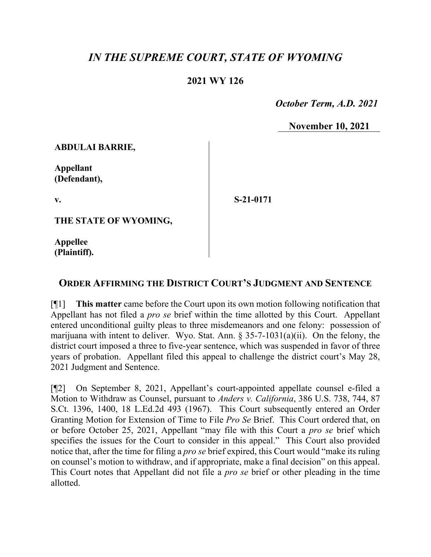## *IN THE SUPREME COURT, STATE OF WYOMING*

## **2021 WY 126**

 *October Term, A.D. 2021*

**November 10, 2021**

**ABDULAI BARRIE,**

**Appellant (Defendant),**

**v.**

**S-21-0171**

**THE STATE OF WYOMING,**

**Appellee (Plaintiff).**

## **ORDER AFFIRMING THE DISTRICT COURT'S JUDGMENT AND SENTENCE**

[¶1] **This matter** came before the Court upon its own motion following notification that Appellant has not filed a *pro se* brief within the time allotted by this Court. Appellant entered unconditional guilty pleas to three misdemeanors and one felony: possession of marijuana with intent to deliver. Wyo. Stat. Ann.  $\S 35-7-1031(a)(ii)$ . On the felony, the district court imposed a three to five-year sentence, which was suspended in favor of three years of probation. Appellant filed this appeal to challenge the district court's May 28, 2021 Judgment and Sentence.

[¶2] On September 8, 2021, Appellant's court-appointed appellate counsel e-filed a Motion to Withdraw as Counsel, pursuant to *Anders v. California*, 386 U.S. 738, 744, 87 S.Ct. 1396, 1400, 18 L.Ed.2d 493 (1967). This Court subsequently entered an Order Granting Motion for Extension of Time to File *Pro Se* Brief. This Court ordered that, on or before October 25, 2021, Appellant "may file with this Court a *pro se* brief which specifies the issues for the Court to consider in this appeal." This Court also provided notice that, after the time for filing a *pro se* brief expired, this Court would "make its ruling on counsel's motion to withdraw, and if appropriate, make a final decision" on this appeal. This Court notes that Appellant did not file a *pro se* brief or other pleading in the time allotted.